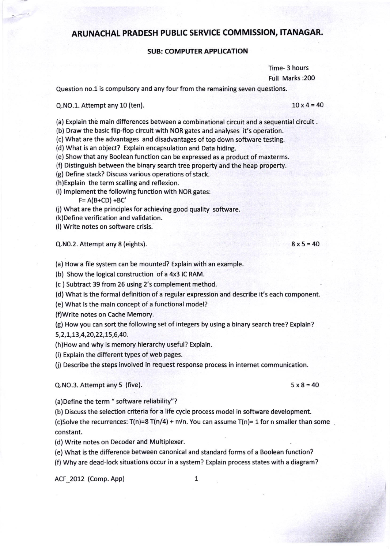# ARUNACHAL PRADESH PUBLIC SERVICE COMMISSION, ITANAGAR.

## SUB: COMPUTER APPLICATION

Time- 3 hours Full Marks :200

Question no.1 is compulsory and any four from the remaining seven questions.

## $Q.NO.1.$  Attempt any 10 (ten). 10 $x = 40$

(a) Explain the main differences between a combinational circuit and a sequential circuit.

(b) Draw the basic flip-flop circuit with NOR gates and analyses it's operation.

(c) What are the advantages and disadvantages of top down software testing.

(d) What is an object? Explain encapsulation and Data hiding.

(e) Show that any Boolean function can be expressed as a product of maxterms.

(f) Distinguish between the binary search tree property and the heap property.

(g) Define stack? Discuss various operations of stack.

(h)Explain the term scalling and reflexion.

(i) lmplement the following function with NOR gates:

 $F = A(B+CD) + BC'$ 

(j) What are the principles for achieving good quality software.

(k)Define verification and validation.

(l) Write notes on software crisis.

 $Q.NO.2.$  Attempt any 8 (eights). 8 $x5 = 40$ 

(a) How a file system can be mounted? Explain with an example.

(b) Show the logical construction of a 4x3 IC RAM.

(c ) Subtract 39 from 26 using 2's complement method.

(d) What is the formal definition of a regular expression and describe it's each component.

(e) What is the main concept of a functional model?

(f)Write notes on Cache Memory.

(g) How you can sort the following set of integers by using a binary search tree? Explain?

5,2,L,8,4,20,22,15,6,40.

(h)How and why is memory hierarchy useful? Explain.

(i) Explain the different types of web pages.

(j) Describe the steps involved in request response process in internet communication.

Q.NO.3. Attempt any 5 (five). 5x8=40

(a)Define the term " software reliability''?

(b) Discuss the selection criteria for a life cycle process model in software development. (c)Solve the recurrences:  $T(n)=8 T(n/4) + n\sqrt{n}$ . You can assume  $T(n)=1$  for n smaller than some constant.

(d) Write notes on Decoder and Multiplexer.

(e) What is the difference between canonical and standard forms of a Boolean function?

(f) Why are dead-lock situations occur in a system? Explain process states with a diagram?

ACF 2012 (Comp. App) 1